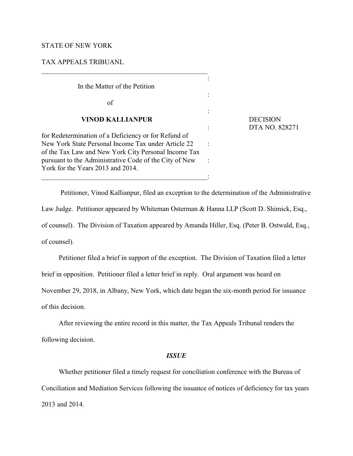## STATE OF NEW YORK

# TAX APPEALS TRIBUANL

: In the Matter of the Petition : of : **VINOD KALLIANPUR** DECISION for Redetermination of a Deficiency or for Refund of New York State Personal Income Tax under Article 22 : of the Tax Law and New York City Personal Income Tax pursuant to the Administrative Code of the City of New : York for the Years 2013 and 2014.

 $\overline{\phantom{a}}$  ,  $\overline{\phantom{a}}$  ,  $\overline{\phantom{a}}$  ,  $\overline{\phantom{a}}$  ,  $\overline{\phantom{a}}$  ,  $\overline{\phantom{a}}$  ,  $\overline{\phantom{a}}$  ,  $\overline{\phantom{a}}$  ,  $\overline{\phantom{a}}$  ,  $\overline{\phantom{a}}$  ,  $\overline{\phantom{a}}$  ,  $\overline{\phantom{a}}$  ,  $\overline{\phantom{a}}$  ,  $\overline{\phantom{a}}$  ,  $\overline{\phantom{a}}$  ,  $\overline{\phantom{a}}$ 

: DTA NO. 828271

 Petitioner, Vinod Kallianpur, filed an exception to the determination of the Administrative Law Judge. Petitioner appeared by Whiteman Osterman & Hanna LLP (Scott D. Shimick, Esq., of counsel). The Division of Taxation appeared by Amanda Hiller, Esq. (Peter B. Ostwald, Esq., of counsel).

Petitioner filed a brief in support of the exception. The Division of Taxation filed a letter

brief in opposition. Petitioner filed a letter brief in reply. Oral argument was heard on

November 29, 2018, in Albany, New York, which date began the six-month period for issuance

of this decision.

After reviewing the entire record in this matter, the Tax Appeals Tribunal renders the following decision.

### *ISSUE*

Whether petitioner filed a timely request for conciliation conference with the Bureau of Conciliation and Mediation Services following the issuance of notices of deficiency for tax years 2013 and 2014.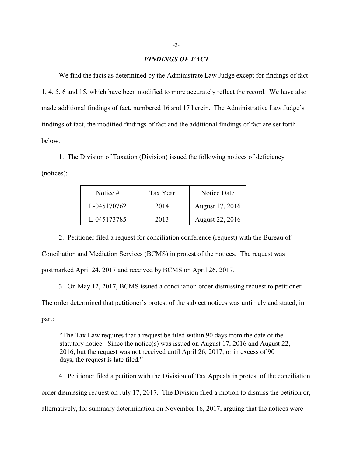#### *FINDINGS OF FACT*

We find the facts as determined by the Administrate Law Judge except for findings of fact 1, 4, 5, 6 and 15, which have been modified to more accurately reflect the record. We have also made additional findings of fact, numbered 16 and 17 herein. The Administrative Law Judge's findings of fact, the modified findings of fact and the additional findings of fact are set forth below.

1. The Division of Taxation (Division) issued the following notices of deficiency (notices):

| Notice #    | Tax Year | Notice Date     |
|-------------|----------|-----------------|
| L-045170762 | 2014     | August 17, 2016 |
| L-045173785 | 2013     | August 22, 2016 |

2. Petitioner filed a request for conciliation conference (request) with the Bureau of Conciliation and Mediation Services (BCMS) in protest of the notices. The request was postmarked April 24, 2017 and received by BCMS on April 26, 2017.

3. On May 12, 2017, BCMS issued a conciliation order dismissing request to petitioner. The order determined that petitioner's protest of the subject notices was untimely and stated, in

part:

"The Tax Law requires that a request be filed within 90 days from the date of the statutory notice. Since the notice(s) was issued on August 17, 2016 and August 22, 2016, but the request was not received until April 26, 2017, or in excess of 90 days, the request is late filed."

4. Petitioner filed a petition with the Division of Tax Appeals in protest of the conciliation order dismissing request on July 17, 2017. The Division filed a motion to dismiss the petition or, alternatively, for summary determination on November 16, 2017, arguing that the notices were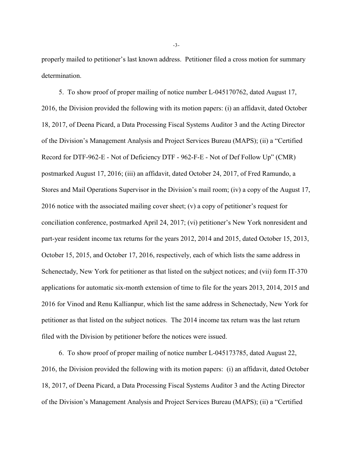properly mailed to petitioner's last known address. Petitioner filed a cross motion for summary determination.

5. To show proof of proper mailing of notice number L-045170762, dated August 17, 2016, the Division provided the following with its motion papers: (i) an affidavit, dated October 18, 2017, of Deena Picard, a Data Processing Fiscal Systems Auditor 3 and the Acting Director of the Division's Management Analysis and Project Services Bureau (MAPS); (ii) a "Certified Record for DTF-962-E - Not of Deficiency DTF - 962-F-E - Not of Def Follow Up" (CMR) postmarked August 17, 2016; (iii) an affidavit, dated October 24, 2017, of Fred Ramundo, a Stores and Mail Operations Supervisor in the Division's mail room; (iv) a copy of the August 17, 2016 notice with the associated mailing cover sheet; (v) a copy of petitioner's request for conciliation conference, postmarked April 24, 2017; (vi) petitioner's New York nonresident and part-year resident income tax returns for the years 2012, 2014 and 2015, dated October 15, 2013, October 15, 2015, and October 17, 2016, respectively, each of which lists the same address in Schenectady, New York for petitioner as that listed on the subject notices; and (vii) form IT-370 applications for automatic six-month extension of time to file for the years 2013, 2014, 2015 and 2016 for Vinod and Renu Kallianpur, which list the same address in Schenectady, New York for petitioner as that listed on the subject notices. The 2014 income tax return was the last return filed with the Division by petitioner before the notices were issued.

6. To show proof of proper mailing of notice number L-045173785, dated August 22, 2016, the Division provided the following with its motion papers: (i) an affidavit, dated October 18, 2017, of Deena Picard, a Data Processing Fiscal Systems Auditor 3 and the Acting Director of the Division's Management Analysis and Project Services Bureau (MAPS); (ii) a "Certified

-3-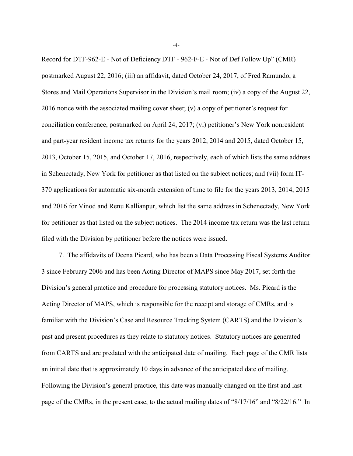Record for DTF-962-E - Not of Deficiency DTF - 962-F-E - Not of Def Follow Up" (CMR) postmarked August 22, 2016; (iii) an affidavit, dated October 24, 2017, of Fred Ramundo, a Stores and Mail Operations Supervisor in the Division's mail room; (iv) a copy of the August 22, 2016 notice with the associated mailing cover sheet; (v) a copy of petitioner's request for conciliation conference, postmarked on April 24, 2017; (vi) petitioner's New York nonresident and part-year resident income tax returns for the years 2012, 2014 and 2015, dated October 15, 2013, October 15, 2015, and October 17, 2016, respectively, each of which lists the same address in Schenectady, New York for petitioner as that listed on the subject notices; and (vii) form IT-370 applications for automatic six-month extension of time to file for the years 2013, 2014, 2015 and 2016 for Vinod and Renu Kallianpur, which list the same address in Schenectady, New York for petitioner as that listed on the subject notices. The 2014 income tax return was the last return filed with the Division by petitioner before the notices were issued.

7. The affidavits of Deena Picard, who has been a Data Processing Fiscal Systems Auditor 3 since February 2006 and has been Acting Director of MAPS since May 2017, set forth the Division's general practice and procedure for processing statutory notices. Ms. Picard is the Acting Director of MAPS, which is responsible for the receipt and storage of CMRs, and is familiar with the Division's Case and Resource Tracking System (CARTS) and the Division's past and present procedures as they relate to statutory notices. Statutory notices are generated from CARTS and are predated with the anticipated date of mailing. Each page of the CMR lists an initial date that is approximately 10 days in advance of the anticipated date of mailing. Following the Division's general practice, this date was manually changed on the first and last page of the CMRs, in the present case, to the actual mailing dates of "8/17/16" and "8/22/16." In

-4-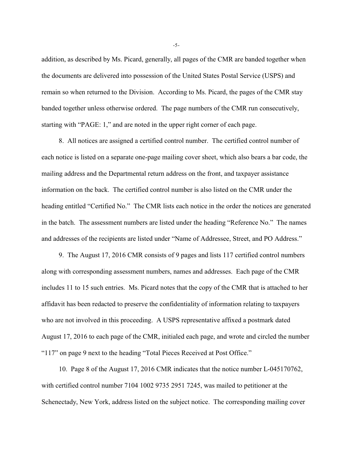addition, as described by Ms. Picard, generally, all pages of the CMR are banded together when the documents are delivered into possession of the United States Postal Service (USPS) and remain so when returned to the Division. According to Ms. Picard, the pages of the CMR stay banded together unless otherwise ordered. The page numbers of the CMR run consecutively, starting with "PAGE: 1," and are noted in the upper right corner of each page.

8. All notices are assigned a certified control number. The certified control number of each notice is listed on a separate one-page mailing cover sheet, which also bears a bar code, the mailing address and the Departmental return address on the front, and taxpayer assistance information on the back. The certified control number is also listed on the CMR under the heading entitled "Certified No." The CMR lists each notice in the order the notices are generated in the batch. The assessment numbers are listed under the heading "Reference No." The names and addresses of the recipients are listed under "Name of Addressee, Street, and PO Address."

9. The August 17, 2016 CMR consists of 9 pages and lists 117 certified control numbers along with corresponding assessment numbers, names and addresses. Each page of the CMR includes 11 to 15 such entries. Ms. Picard notes that the copy of the CMR that is attached to her affidavit has been redacted to preserve the confidentiality of information relating to taxpayers who are not involved in this proceeding. A USPS representative affixed a postmark dated August 17, 2016 to each page of the CMR, initialed each page, and wrote and circled the number "117" on page 9 next to the heading "Total Pieces Received at Post Office."

10. Page 8 of the August 17, 2016 CMR indicates that the notice number L-045170762, with certified control number 7104 1002 9735 2951 7245, was mailed to petitioner at the Schenectady, New York, address listed on the subject notice. The corresponding mailing cover

-5-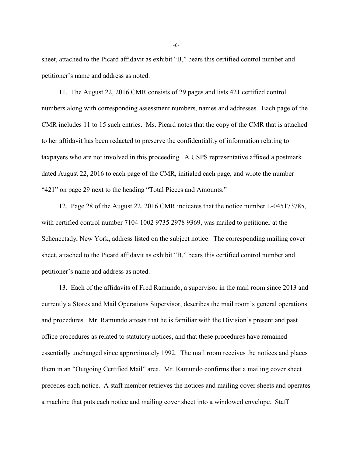sheet, attached to the Picard affidavit as exhibit "B," bears this certified control number and petitioner's name and address as noted.

11. The August 22, 2016 CMR consists of 29 pages and lists 421 certified control numbers along with corresponding assessment numbers, names and addresses. Each page of the CMR includes 11 to 15 such entries. Ms. Picard notes that the copy of the CMR that is attached to her affidavit has been redacted to preserve the confidentiality of information relating to taxpayers who are not involved in this proceeding. A USPS representative affixed a postmark dated August 22, 2016 to each page of the CMR, initialed each page, and wrote the number "421" on page 29 next to the heading "Total Pieces and Amounts."

12. Page 28 of the August 22, 2016 CMR indicates that the notice number L-045173785, with certified control number 7104 1002 9735 2978 9369, was mailed to petitioner at the Schenectady, New York, address listed on the subject notice. The corresponding mailing cover sheet, attached to the Picard affidavit as exhibit "B," bears this certified control number and petitioner's name and address as noted.

13. Each of the affidavits of Fred Ramundo, a supervisor in the mail room since 2013 and currently a Stores and Mail Operations Supervisor, describes the mail room's general operations and procedures. Mr. Ramundo attests that he is familiar with the Division's present and past office procedures as related to statutory notices, and that these procedures have remained essentially unchanged since approximately 1992. The mail room receives the notices and places them in an "Outgoing Certified Mail" area. Mr. Ramundo confirms that a mailing cover sheet precedes each notice. A staff member retrieves the notices and mailing cover sheets and operates a machine that puts each notice and mailing cover sheet into a windowed envelope. Staff

-6-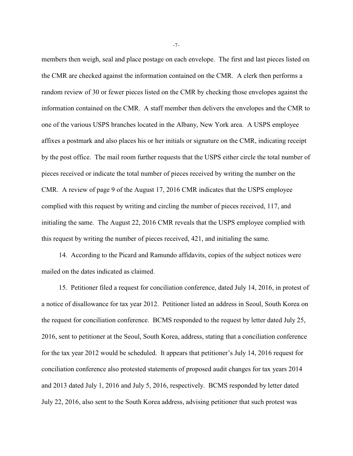members then weigh, seal and place postage on each envelope. The first and last pieces listed on the CMR are checked against the information contained on the CMR. A clerk then performs a random review of 30 or fewer pieces listed on the CMR by checking those envelopes against the information contained on the CMR. A staff member then delivers the envelopes and the CMR to one of the various USPS branches located in the Albany, New York area. A USPS employee affixes a postmark and also places his or her initials or signature on the CMR, indicating receipt by the post office. The mail room further requests that the USPS either circle the total number of pieces received or indicate the total number of pieces received by writing the number on the CMR. A review of page 9 of the August 17, 2016 CMR indicates that the USPS employee complied with this request by writing and circling the number of pieces received, 117, and initialing the same. The August 22, 2016 CMR reveals that the USPS employee complied with this request by writing the number of pieces received, 421, and initialing the same.

14. According to the Picard and Ramundo affidavits, copies of the subject notices were mailed on the dates indicated as claimed.

15. Petitioner filed a request for conciliation conference, dated July 14, 2016, in protest of a notice of disallowance for tax year 2012. Petitioner listed an address in Seoul, South Korea on the request for conciliation conference. BCMS responded to the request by letter dated July 25, 2016, sent to petitioner at the Seoul, South Korea, address, stating that a conciliation conference for the tax year 2012 would be scheduled. It appears that petitioner's July 14, 2016 request for conciliation conference also protested statements of proposed audit changes for tax years 2014 and 2013 dated July 1, 2016 and July 5, 2016, respectively. BCMS responded by letter dated July 22, 2016, also sent to the South Korea address, advising petitioner that such protest was

-7-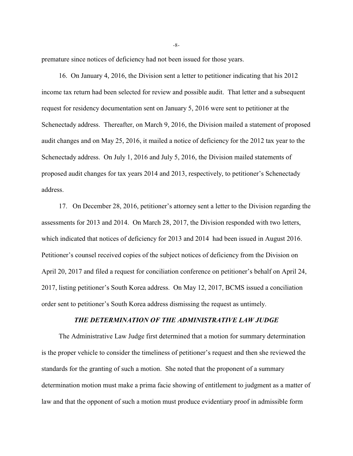premature since notices of deficiency had not been issued for those years.

16. On January 4, 2016, the Division sent a letter to petitioner indicating that his 2012 income tax return had been selected for review and possible audit. That letter and a subsequent request for residency documentation sent on January 5, 2016 were sent to petitioner at the Schenectady address. Thereafter, on March 9, 2016, the Division mailed a statement of proposed audit changes and on May 25, 2016, it mailed a notice of deficiency for the 2012 tax year to the Schenectady address. On July 1, 2016 and July 5, 2016, the Division mailed statements of proposed audit changes for tax years 2014 and 2013, respectively, to petitioner's Schenectady address.

17. On December 28, 2016, petitioner's attorney sent a letter to the Division regarding the assessments for 2013 and 2014. On March 28, 2017, the Division responded with two letters, which indicated that notices of deficiency for 2013 and 2014 had been issued in August 2016. Petitioner's counsel received copies of the subject notices of deficiency from the Division on April 20, 2017 and filed a request for conciliation conference on petitioner's behalf on April 24, 2017, listing petitioner's South Korea address. On May 12, 2017, BCMS issued a conciliation order sent to petitioner's South Korea address dismissing the request as untimely.

# *THE DETERMINATION OF THE ADMINISTRATIVE LAW JUDGE*

The Administrative Law Judge first determined that a motion for summary determination is the proper vehicle to consider the timeliness of petitioner's request and then she reviewed the standards for the granting of such a motion. She noted that the proponent of a summary determination motion must make a prima facie showing of entitlement to judgment as a matter of law and that the opponent of such a motion must produce evidentiary proof in admissible form

-8-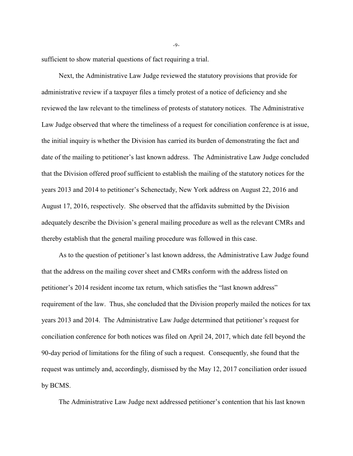sufficient to show material questions of fact requiring a trial.

Next, the Administrative Law Judge reviewed the statutory provisions that provide for administrative review if a taxpayer files a timely protest of a notice of deficiency and she reviewed the law relevant to the timeliness of protests of statutory notices. The Administrative Law Judge observed that where the timeliness of a request for conciliation conference is at issue, the initial inquiry is whether the Division has carried its burden of demonstrating the fact and date of the mailing to petitioner's last known address. The Administrative Law Judge concluded that the Division offered proof sufficient to establish the mailing of the statutory notices for the years 2013 and 2014 to petitioner's Schenectady, New York address on August 22, 2016 and August 17, 2016, respectively. She observed that the affidavits submitted by the Division adequately describe the Division's general mailing procedure as well as the relevant CMRs and thereby establish that the general mailing procedure was followed in this case.

As to the question of petitioner's last known address, the Administrative Law Judge found that the address on the mailing cover sheet and CMRs conform with the address listed on petitioner's 2014 resident income tax return, which satisfies the "last known address" requirement of the law. Thus, she concluded that the Division properly mailed the notices for tax years 2013 and 2014. The Administrative Law Judge determined that petitioner's request for conciliation conference for both notices was filed on April 24, 2017, which date fell beyond the 90-day period of limitations for the filing of such a request. Consequently, she found that the request was untimely and, accordingly, dismissed by the May 12, 2017 conciliation order issued by BCMS.

The Administrative Law Judge next addressed petitioner's contention that his last known

-9-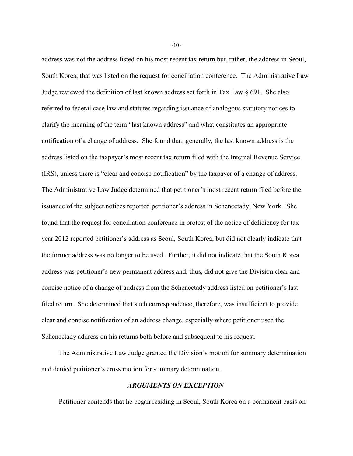address was not the address listed on his most recent tax return but, rather, the address in Seoul, South Korea, that was listed on the request for conciliation conference. The Administrative Law Judge reviewed the definition of last known address set forth in Tax Law § 691. She also referred to federal case law and statutes regarding issuance of analogous statutory notices to clarify the meaning of the term "last known address" and what constitutes an appropriate notification of a change of address. She found that, generally, the last known address is the address listed on the taxpayer's most recent tax return filed with the Internal Revenue Service (IRS), unless there is "clear and concise notification" by the taxpayer of a change of address. The Administrative Law Judge determined that petitioner's most recent return filed before the issuance of the subject notices reported petitioner's address in Schenectady, New York. She found that the request for conciliation conference in protest of the notice of deficiency for tax year 2012 reported petitioner's address as Seoul, South Korea, but did not clearly indicate that the former address was no longer to be used. Further, it did not indicate that the South Korea address was petitioner's new permanent address and, thus, did not give the Division clear and concise notice of a change of address from the Schenectady address listed on petitioner's last filed return. She determined that such correspondence, therefore, was insufficient to provide clear and concise notification of an address change, especially where petitioner used the Schenectady address on his returns both before and subsequent to his request.

The Administrative Law Judge granted the Division's motion for summary determination and denied petitioner's cross motion for summary determination.

### *ARGUMENTS ON EXCEPTION*

Petitioner contends that he began residing in Seoul, South Korea on a permanent basis on

-10-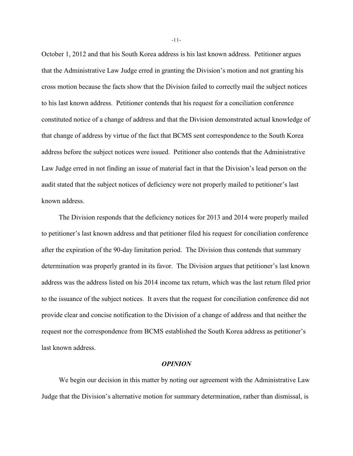October 1, 2012 and that his South Korea address is his last known address. Petitioner argues that the Administrative Law Judge erred in granting the Division's motion and not granting his cross motion because the facts show that the Division failed to correctly mail the subject notices to his last known address. Petitioner contends that his request for a conciliation conference constituted notice of a change of address and that the Division demonstrated actual knowledge of that change of address by virtue of the fact that BCMS sent correspondence to the South Korea address before the subject notices were issued. Petitioner also contends that the Administrative Law Judge erred in not finding an issue of material fact in that the Division's lead person on the audit stated that the subject notices of deficiency were not properly mailed to petitioner's last known address.

The Division responds that the deficiency notices for 2013 and 2014 were properly mailed to petitioner's last known address and that petitioner filed his request for conciliation conference after the expiration of the 90-day limitation period. The Division thus contends that summary determination was properly granted in its favor. The Division argues that petitioner's last known address was the address listed on his 2014 income tax return, which was the last return filed prior to the issuance of the subject notices. It avers that the request for conciliation conference did not provide clear and concise notification to the Division of a change of address and that neither the request nor the correspondence from BCMS established the South Korea address as petitioner's last known address.

#### *OPINION*

We begin our decision in this matter by noting our agreement with the Administrative Law Judge that the Division's alternative motion for summary determination, rather than dismissal, is

-11-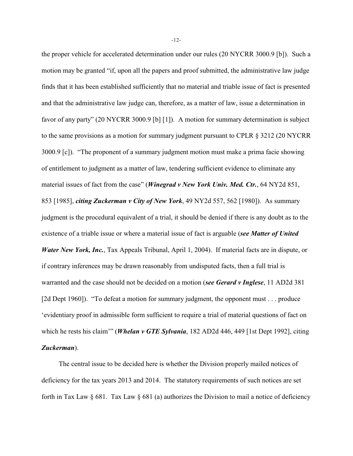the proper vehicle for accelerated determination under our rules (20 NYCRR 3000.9 [b]). Such a motion may be granted "if, upon all the papers and proof submitted, the administrative law judge finds that it has been established sufficiently that no material and triable issue of fact is presented and that the administrative law judge can, therefore, as a matter of law, issue a determination in favor of any party" (20 NYCRR 3000.9 [b] [1]). A motion for summary determination is subject to the same provisions as a motion for summary judgment pursuant to CPLR § 3212 (20 NYCRR 3000.9 [c]). "The proponent of a summary judgment motion must make a prima facie showing of entitlement to judgment as a matter of law, tendering sufficient evidence to eliminate any material issues of fact from the case" (*Winegrad v New York Univ. Med. Ctr.*, 64 NY2d 851, 853 [1985], *citing Zuckerman v City of New York*, 49 NY2d 557, 562 [1980]). As summary judgment is the procedural equivalent of a trial, it should be denied if there is any doubt as to the existence of a triable issue or where a material issue of fact is arguable (*see Matter of United Water New York, Inc.*, Tax Appeals Tribunal, April 1, 2004). If material facts are in dispute, or if contrary inferences may be drawn reasonably from undisputed facts, then a full trial is warranted and the case should not be decided on a motion (*see Gerard v Inglese*, 11 AD2d 381 [2d Dept 1960]). "To defeat a motion for summary judgment, the opponent must . . . produce 'evidentiary proof in admissible form sufficient to require a trial of material questions of fact on which he rests his claim" (*Whelan v GTE Sylvania*, 182 AD2d 446, 449 [1st Dept 1992], citing *Zuckerman*).

The central issue to be decided here is whether the Division properly mailed notices of deficiency for the tax years 2013 and 2014. The statutory requirements of such notices are set forth in Tax Law  $\S$  681. Tax Law  $\S$  681 (a) authorizes the Division to mail a notice of deficiency

-12-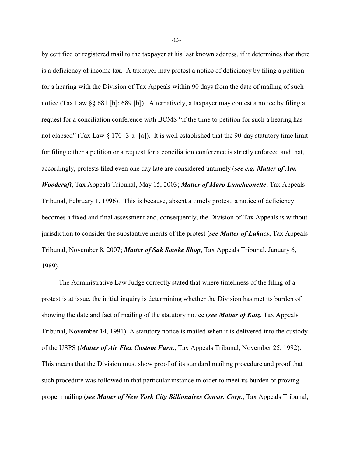by certified or registered mail to the taxpayer at his last known address, if it determines that there is a deficiency of income tax. A taxpayer may protest a notice of deficiency by filing a petition for a hearing with the Division of Tax Appeals within 90 days from the date of mailing of such notice (Tax Law §§ 681 [b]; 689 [b]). Alternatively, a taxpayer may contest a notice by filing a request for a conciliation conference with BCMS "if the time to petition for such a hearing has not elapsed" (Tax Law § 170 [3-a] [a]). It is well established that the 90-day statutory time limit for filing either a petition or a request for a conciliation conference is strictly enforced and that, accordingly, protests filed even one day late are considered untimely (*see e.g. Matter of Am. Woodcraft*, Tax Appeals Tribunal, May 15, 2003; *Matter of Maro Luncheonette*, Tax Appeals Tribunal, February 1, 1996). This is because, absent a timely protest, a notice of deficiency becomes a fixed and final assessment and, consequently, the Division of Tax Appeals is without jurisdiction to consider the substantive merits of the protest (*see Matter of Lukacs*, Tax Appeals Tribunal, November 8, 2007; *Matter of Sak Smoke Shop*, Tax Appeals Tribunal, January 6, 1989).

The Administrative Law Judge correctly stated that where timeliness of the filing of a protest is at issue, the initial inquiry is determining whether the Division has met its burden of showing the date and fact of mailing of the statutory notice (*see Matter of Katz*, Tax Appeals Tribunal, November 14, 1991). A statutory notice is mailed when it is delivered into the custody of the USPS (*Matter of Air Flex Custom Furn.*, Tax Appeals Tribunal, November 25, 1992). This means that the Division must show proof of its standard mailing procedure and proof that such procedure was followed in that particular instance in order to meet its burden of proving proper mailing (*see Matter of New York City Billionaires Constr. Corp.*, Tax Appeals Tribunal,

-13-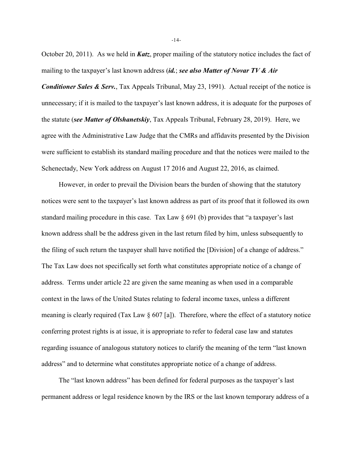October 20, 2011). As we held in *Katz*, proper mailing of the statutory notice includes the fact of mailing to the taxpayer's last known address (*id.*; *see also Matter of Novar TV & Air*

*Conditioner Sales & Serv.*, Tax Appeals Tribunal, May 23, 1991). Actual receipt of the notice is unnecessary; if it is mailed to the taxpayer's last known address, it is adequate for the purposes of the statute (*see Matter of Olshanetskiy*, Tax Appeals Tribunal, February 28, 2019). Here, we agree with the Administrative Law Judge that the CMRs and affidavits presented by the Division were sufficient to establish its standard mailing procedure and that the notices were mailed to the Schenectady, New York address on August 17 2016 and August 22, 2016, as claimed.

However, in order to prevail the Division bears the burden of showing that the statutory notices were sent to the taxpayer's last known address as part of its proof that it followed its own standard mailing procedure in this case. Tax Law § 691 (b) provides that "a taxpayer's last known address shall be the address given in the last return filed by him, unless subsequently to the filing of such return the taxpayer shall have notified the [Division] of a change of address." The Tax Law does not specifically set forth what constitutes appropriate notice of a change of address. Terms under article 22 are given the same meaning as when used in a comparable context in the laws of the United States relating to federal income taxes, unless a different meaning is clearly required (Tax Law  $\S 607$  [a]). Therefore, where the effect of a statutory notice conferring protest rights is at issue, it is appropriate to refer to federal case law and statutes regarding issuance of analogous statutory notices to clarify the meaning of the term "last known address" and to determine what constitutes appropriate notice of a change of address.

The "last known address" has been defined for federal purposes as the taxpayer's last permanent address or legal residence known by the IRS or the last known temporary address of a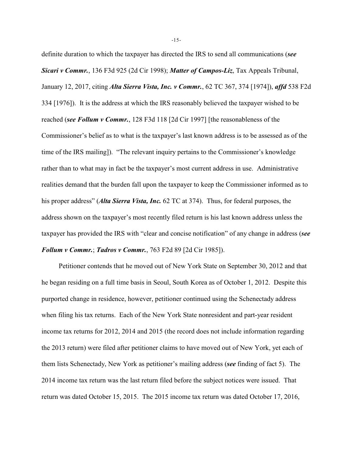definite duration to which the taxpayer has directed the IRS to send all communications (*see Sicari v Commr.*, 136 F3d 925 (2d Cir 1998); *Matter of Campos-Liz*, Tax Appeals Tribunal, January 12, 2017, citing *Alta Sierra Vista, Inc. v Commr.*, 62 TC 367, 374 [1974]), *affd* 538 F2d 334 [1976]). It is the address at which the IRS reasonably believed the taxpayer wished to be reached (*see Follum v Commr.*, 128 F3d 118 [2d Cir 1997] [the reasonableness of the Commissioner's belief as to what is the taxpayer's last known address is to be assessed as of the time of the IRS mailing]). "The relevant inquiry pertains to the Commissioner's knowledge rather than to what may in fact be the taxpayer's most current address in use. Administrative realities demand that the burden fall upon the taxpayer to keep the Commissioner informed as to his proper address" (*Alta Sierra Vista, Inc.* 62 TC at 374). Thus, for federal purposes, the address shown on the taxpayer's most recently filed return is his last known address unless the taxpayer has provided the IRS with "clear and concise notification" of any change in address (*see Follum v Commr.*; *Tadros v Commr.*, 763 F2d 89 [2d Cir 1985]).

Petitioner contends that he moved out of New York State on September 30, 2012 and that he began residing on a full time basis in Seoul, South Korea as of October 1, 2012. Despite this purported change in residence, however, petitioner continued using the Schenectady address when filing his tax returns. Each of the New York State nonresident and part-year resident income tax returns for 2012, 2014 and 2015 (the record does not include information regarding the 2013 return) were filed after petitioner claims to have moved out of New York, yet each of them lists Schenectady, New York as petitioner's mailing address (*see* finding of fact 5). The 2014 income tax return was the last return filed before the subject notices were issued. That return was dated October 15, 2015. The 2015 income tax return was dated October 17, 2016,

-15-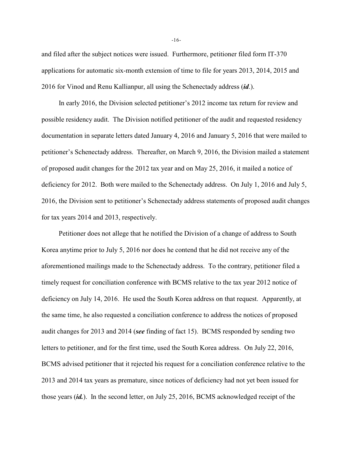and filed after the subject notices were issued. Furthermore, petitioner filed form IT-370 applications for automatic six-month extension of time to file for years 2013, 2014, 2015 and 2016 for Vinod and Renu Kallianpur, all using the Schenectady address (*id*.).

In early 2016, the Division selected petitioner's 2012 income tax return for review and possible residency audit. The Division notified petitioner of the audit and requested residency documentation in separate letters dated January 4, 2016 and January 5, 2016 that were mailed to petitioner's Schenectady address. Thereafter, on March 9, 2016, the Division mailed a statement of proposed audit changes for the 2012 tax year and on May 25, 2016, it mailed a notice of deficiency for 2012. Both were mailed to the Schenectady address. On July 1, 2016 and July 5, 2016, the Division sent to petitioner's Schenectady address statements of proposed audit changes for tax years 2014 and 2013, respectively.

Petitioner does not allege that he notified the Division of a change of address to South Korea anytime prior to July 5, 2016 nor does he contend that he did not receive any of the aforementioned mailings made to the Schenectady address. To the contrary, petitioner filed a timely request for conciliation conference with BCMS relative to the tax year 2012 notice of deficiency on July 14, 2016. He used the South Korea address on that request. Apparently, at the same time, he also requested a conciliation conference to address the notices of proposed audit changes for 2013 and 2014 (*see* finding of fact 15). BCMS responded by sending two letters to petitioner, and for the first time, used the South Korea address. On July 22, 2016, BCMS advised petitioner that it rejected his request for a conciliation conference relative to the 2013 and 2014 tax years as premature, since notices of deficiency had not yet been issued for those years (*id.*). In the second letter, on July 25, 2016, BCMS acknowledged receipt of the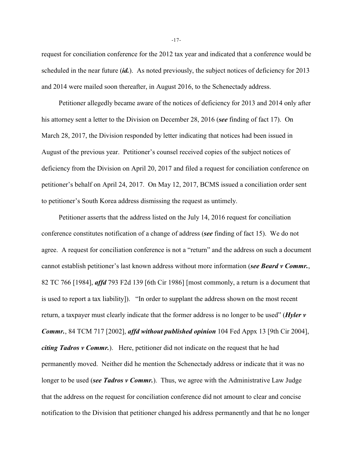request for conciliation conference for the 2012 tax year and indicated that a conference would be scheduled in the near future (*id.*). As noted previously, the subject notices of deficiency for 2013 and 2014 were mailed soon thereafter, in August 2016, to the Schenectady address.

Petitioner allegedly became aware of the notices of deficiency for 2013 and 2014 only after his attorney sent a letter to the Division on December 28, 2016 (*see* finding of fact 17). On March 28, 2017, the Division responded by letter indicating that notices had been issued in August of the previous year. Petitioner's counsel received copies of the subject notices of deficiency from the Division on April 20, 2017 and filed a request for conciliation conference on petitioner's behalf on April 24, 2017. On May 12, 2017, BCMS issued a conciliation order sent to petitioner's South Korea address dismissing the request as untimely.

Petitioner asserts that the address listed on the July 14, 2016 request for conciliation conference constitutes notification of a change of address (*see* finding of fact 15). We do not agree. A request for conciliation conference is not a "return" and the address on such a document cannot establish petitioner's last known address without more information (*see Beard v Commr.*, 82 TC 766 [1984], *affd* 793 F2d 139 [6th Cir 1986] [most commonly, a return is a document that is used to report a tax liability]). "In order to supplant the address shown on the most recent return, a taxpayer must clearly indicate that the former address is no longer to be used" (*Hyler v Commr.*, 84 TCM 717 [2002], *affd without published opinion* 104 Fed Appx 13 [9th Cir 2004], *citing Tadros v Commr.*). Here, petitioner did not indicate on the request that he had permanently moved. Neither did he mention the Schenectady address or indicate that it was no longer to be used *(see Tadros v Commr.*). Thus, we agree with the Administrative Law Judge that the address on the request for conciliation conference did not amount to clear and concise notification to the Division that petitioner changed his address permanently and that he no longer

-17-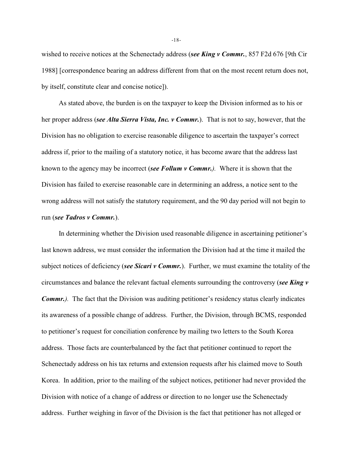wished to receive notices at the Schenectady address (*see King v Commr.*, 857 F2d 676 [9th Cir 1988] [correspondence bearing an address different from that on the most recent return does not, by itself, constitute clear and concise notice]).

As stated above, the burden is on the taxpayer to keep the Division informed as to his or her proper address (*see Alta Sierra Vista, Inc. v Commr.*). That is not to say, however, that the Division has no obligation to exercise reasonable diligence to ascertain the taxpayer's correct address if, prior to the mailing of a statutory notice, it has become aware that the address last known to the agency may be incorrect (*see Follum v Commr.).* Where it is shown that the Division has failed to exercise reasonable care in determining an address, a notice sent to the wrong address will not satisfy the statutory requirement, and the 90 day period will not begin to run (*see Tadros v Commr.*).

In determining whether the Division used reasonable diligence in ascertaining petitioner's last known address, we must consider the information the Division had at the time it mailed the subject notices of deficiency (*see Sicari v Commr.*). Further, we must examine the totality of the circumstances and balance the relevant factual elements surrounding the controversy (*see King v Commr.*). The fact that the Division was auditing petitioner's residency status clearly indicates its awareness of a possible change of address. Further, the Division, through BCMS, responded to petitioner's request for conciliation conference by mailing two letters to the South Korea address. Those facts are counterbalanced by the fact that petitioner continued to report the Schenectady address on his tax returns and extension requests after his claimed move to South Korea. In addition, prior to the mailing of the subject notices, petitioner had never provided the Division with notice of a change of address or direction to no longer use the Schenectady address. Further weighing in favor of the Division is the fact that petitioner has not alleged or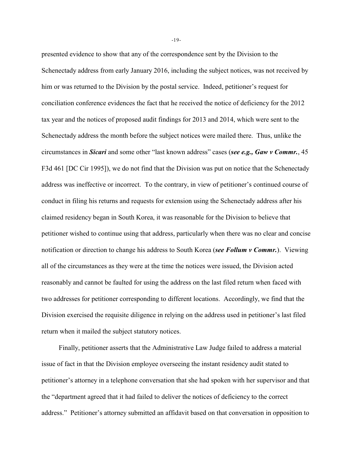presented evidence to show that any of the correspondence sent by the Division to the Schenectady address from early January 2016, including the subject notices, was not received by him or was returned to the Division by the postal service. Indeed, petitioner's request for conciliation conference evidences the fact that he received the notice of deficiency for the 2012 tax year and the notices of proposed audit findings for 2013 and 2014, which were sent to the Schenectady address the month before the subject notices were mailed there. Thus, unlike the circumstances in *Sicari* and some other "last known address" cases (*see e.g., Gaw v Commr.*, 45 F3d 461 [DC Cir 1995]), we do not find that the Division was put on notice that the Schenectady address was ineffective or incorrect. To the contrary, in view of petitioner's continued course of conduct in filing his returns and requests for extension using the Schenectady address after his claimed residency began in South Korea, it was reasonable for the Division to believe that petitioner wished to continue using that address, particularly when there was no clear and concise notification or direction to change his address to South Korea (*see Follum v Commr.*). Viewing all of the circumstances as they were at the time the notices were issued, the Division acted reasonably and cannot be faulted for using the address on the last filed return when faced with two addresses for petitioner corresponding to different locations. Accordingly, we find that the Division exercised the requisite diligence in relying on the address used in petitioner's last filed return when it mailed the subject statutory notices.

Finally, petitioner asserts that the Administrative Law Judge failed to address a material issue of fact in that the Division employee overseeing the instant residency audit stated to petitioner's attorney in a telephone conversation that she had spoken with her supervisor and that the "department agreed that it had failed to deliver the notices of deficiency to the correct address." Petitioner's attorney submitted an affidavit based on that conversation in opposition to

-19-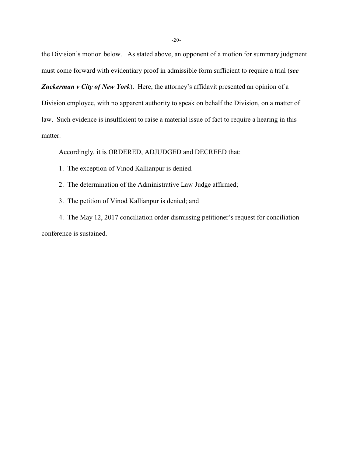the Division's motion below. As stated above, an opponent of a motion for summary judgment must come forward with evidentiary proof in admissible form sufficient to require a trial (*see*

*Zuckerman v City of New York*). Here, the attorney's affidavit presented an opinion of a Division employee, with no apparent authority to speak on behalf the Division, on a matter of law. Such evidence is insufficient to raise a material issue of fact to require a hearing in this matter.

Accordingly, it is ORDERED, ADJUDGED and DECREED that:

- 1. The exception of Vinod Kallianpur is denied.
- 2. The determination of the Administrative Law Judge affirmed;
- 3. The petition of Vinod Kallianpur is denied; and

4. The May 12, 2017 conciliation order dismissing petitioner's request for conciliation conference is sustained.